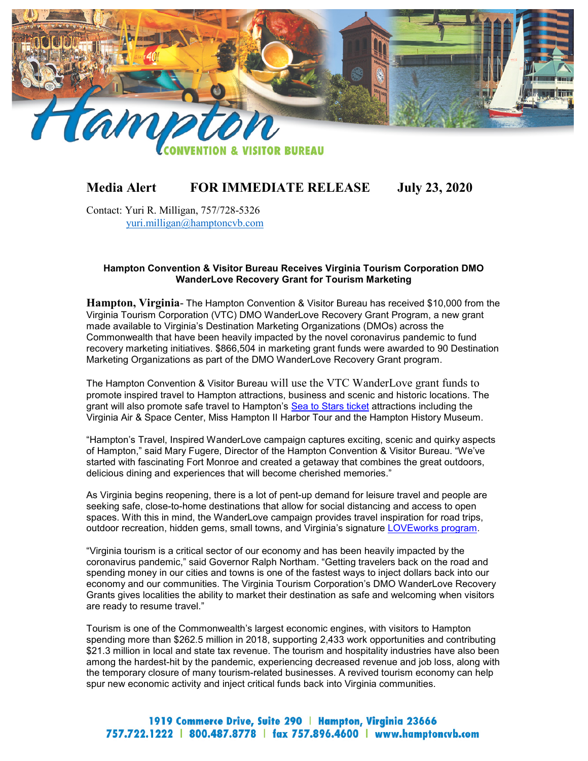

# **Media Alert FOR IMMEDIATE RELEASE July 23, 2020**

Contact: Yuri R. Milligan, 757/728-5326 yuri.milligan@hamptoncvb.com

#### **Hampton Convention & Visitor Bureau Receives Virginia Tourism Corporation DMO WanderLove Recovery Grant for Tourism Marketing**

**Hampton, Virginia**- The Hampton Convention & Visitor Bureau has received \$10,000 from the Virginia Tourism Corporation (VTC) DMO WanderLove Recovery Grant Program, a new grant made available to Virginia's Destination Marketing Organizations (DMOs) across the Commonwealth that have been heavily impacted by the novel coronavirus pandemic to fund recovery marketing initiatives. \$866,504 in marketing grant funds were awarded to 90 Destination Marketing Organizations as part of the DMO WanderLove Recovery Grant program.

The Hampton Convention & Visitor Bureau will use the VTC WanderLove grant funds to promote inspired travel to Hampton attractions, business and scenic and historic locations. The grant will also promote safe travel to Hampton's [Sea to Stars](https://explore.visithampton.com/checkout/320/visit-hampton/1681/sea-to-stars) ticket attractions including the Virginia Air & Space Center, Miss Hampton II Harbor Tour and the Hampton History Museum.

"Hampton's Travel, Inspired WanderLove campaign captures exciting, scenic and quirky aspects of Hampton," said Mary Fugere, Director of the Hampton Convention & Visitor Bureau. "We've started with fascinating Fort Monroe and created a getaway that combines the great outdoors, delicious dining and experiences that will become cherished memories."

As Virginia begins reopening, there is a lot of pent-up demand for leisure travel and people are seeking safe, close-to-home destinations that allow for social distancing and access to open spaces. With this in mind, the WanderLove campaign provides travel inspiration for road trips, outdoor recreation, hidden gems, small towns, and Virginia's signature [LOVEworks program.](https://www.virginia.org/love)

"Virginia tourism is a critical sector of our economy and has been heavily impacted by the coronavirus pandemic," said Governor Ralph Northam. "Getting travelers back on the road and spending money in our cities and towns is one of the fastest ways to inject dollars back into our economy and our communities. The Virginia Tourism Corporation's DMO WanderLove Recovery Grants gives localities the ability to market their destination as safe and welcoming when visitors are ready to resume travel."

Tourism is one of the Commonwealth's largest economic engines, with visitors to Hampton spending more than \$262.5 million in 2018, supporting 2,433 work opportunities and contributing \$21.3 million in local and state tax revenue. The tourism and hospitality industries have also been among the hardest-hit by the pandemic, experiencing decreased revenue and job loss, along with the temporary closure of many tourism-related businesses. A revived tourism economy can help spur new economic activity and inject critical funds back into Virginia communities.

# 1919 Commerce Drive, Suite 290 | Hampton, Virginia 23666 757.722.1222 | 800.487.8778 | fax 757.896.4600 | www.hamptoncvb.com